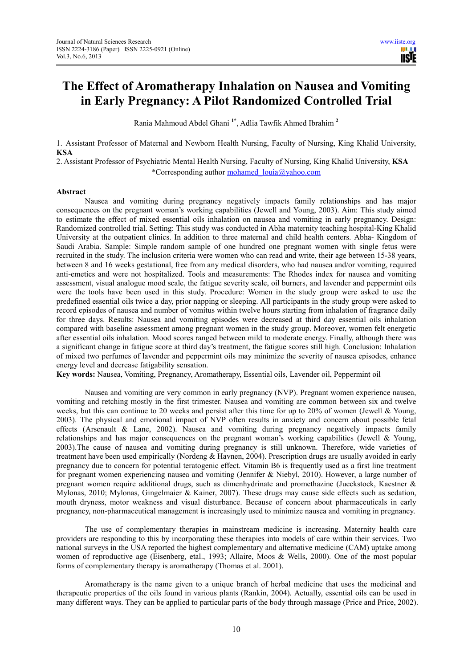# **The Effect of Aromatherapy Inhalation on Nausea and Vomiting in Early Pregnancy: A Pilot Randomized Controlled Trial**

Rania Mahmoud Abdel Ghani **1\***, Adlia Tawfik Ahmed Ibrahim **<sup>2</sup>**

1. Assistant Professor of Maternal and Newborn Health Nursing, Faculty of Nursing, King Khalid University, **KSA**

2. Assistant Professor of Psychiatric Mental Health Nursing, Faculty of Nursing, King Khalid University, **KSA** \*Corresponding author mohamed\_louia@yahoo.com

# **Abstract**

Nausea and vomiting during pregnancy negatively impacts family relationships and has major consequences on the pregnant woman's working capabilities (Jewell and Young, 2003). Aim: This study aimed to estimate the effect of mixed essential oils inhalation on nausea and vomiting in early pregnancy. Design: Randomized controlled trial. Setting: This study was conducted in Abha maternity teaching hospital-King Khalid University at the outpatient clinics. In addition to three maternal and child health centers. Abha- Kingdom of Saudi Arabia. Sample: Simple random sample of one hundred one pregnant women with single fetus were recruited in the study. The inclusion criteria were women who can read and write, their age between 15-38 years, between 8 and 16 weeks gestational, free from any medical disorders, who had nausea and/or vomiting, required anti-emetics and were not hospitalized. Tools and measurements: The Rhodes index for nausea and vomiting assessment, visual analogue mood scale, the fatigue severity scale, oil burners, and lavender and peppermint oils were the tools have been used in this study. Procedure: Women in the study group were asked to use the predefined essential oils twice a day, prior napping or sleeping. All participants in the study group were asked to record episodes of nausea and number of vomitus within twelve hours starting from inhalation of fragrance daily for three days. Results: Nausea and vomiting episodes were decreased at third day essential oils inhalation compared with baseline assessment among pregnant women in the study group. Moreover, women felt energetic after essential oils inhalation. Mood scores ranged between mild to moderate energy. Finally, although there was a significant change in fatigue score at third day's treatment, the fatigue scores still high. Conclusion: Inhalation of mixed two perfumes of lavender and peppermint oils may minimize the severity of nausea episodes, enhance energy level and decrease fatigability sensation.

**Key words:** Nausea, Vomiting, Pregnancy, Aromatherapy, Essential oils, Lavender oil, Peppermint oil

Nausea and vomiting are very common in early pregnancy (NVP). Pregnant women experience nausea, vomiting and retching mostly in the first trimester. Nausea and vomiting are common between six and twelve weeks, but this can continue to 20 weeks and persist after this time for up to 20% of women (Jewell & Young, 2003). The physical and emotional impact of NVP often results in anxiety and concern about possible fetal effects (Arsenault & Lane, 2002). Nausea and vomiting during pregnancy negatively impacts family relationships and has major consequences on the pregnant woman's working capabilities (Jewell & Young, 2003).The cause of nausea and vomiting during pregnancy is still unknown. Therefore, wide varieties of treatment have been used empirically (Nordeng & Havnen, 2004). Prescription drugs are usually avoided in early pregnancy due to concern for potential teratogenic effect. Vitamin B6 is frequently used as a first line treatment for pregnant women experiencing nausea and vomiting (Jennifer & Niebyl, 2010). However, a large number of pregnant women require additional drugs, such as dimenhydrinate and promethazine (Jueckstock, Kaestner & Mylonas, 2010; Mylonas, Gingelmaier & Kainer, 2007). These drugs may cause side effects such as sedation, mouth dryness, motor weakness and visual disturbance. Because of concern about pharmaceuticals in early pregnancy, non-pharmaceutical management is increasingly used to minimize nausea and vomiting in pregnancy.

The use of complementary therapies in mainstream medicine is increasing. Maternity health care providers are responding to this by incorporating these therapies into models of care within their services. Two national surveys in the USA reported the highest complementary and alternative medicine (CAM) uptake among women of reproductive age (Eisenberg, etal., 1993; Allaire, Moos & Wells, 2000). One of the most popular forms of complementary therapy is aromatherapy (Thomas et al. 2001).

Aromatherapy is the name given to a unique branch of herbal medicine that uses the medicinal and therapeutic properties of the oils found in various plants (Rankin, 2004). Actually, essential oils can be used in many different ways. They can be applied to particular parts of the body through massage (Price and Price, 2002).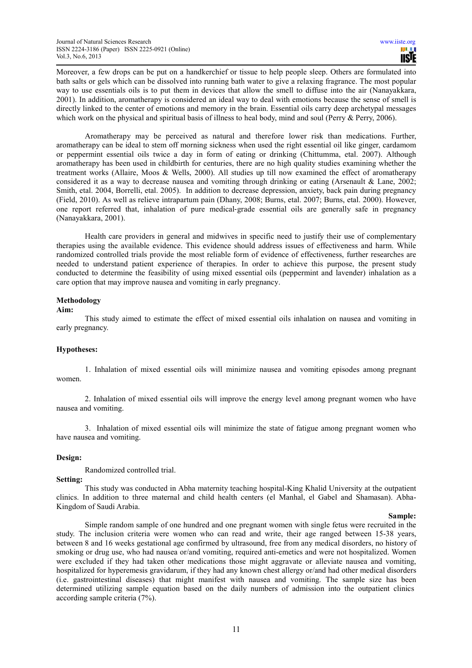Moreover, a few drops can be put on a handkerchief or tissue to help people sleep. Others are formulated into bath salts or gels which can be dissolved into running bath water to give a relaxing fragrance. The most popular way to use essentials oils is to put them in devices that allow the smell to diffuse into the air (Nanayakkara, 2001). In addition, aromatherapy is considered an ideal way to deal with emotions because the sense of smell is directly linked to the center of emotions and memory in the brain. Essential oils carry deep archetypal messages which work on the physical and spiritual basis of illness to heal body, mind and soul (Perry & Perry, 2006).

Aromatherapy may be perceived as natural and therefore lower risk than medications. Further, aromatherapy can be ideal to stem off morning sickness when used the right essential oil like ginger, cardamom or peppermint essential oils twice a day in form of eating or drinking (Chittumma, etal. 2007). Although aromatherapy has been used in childbirth for centuries, there are no high quality studies examining whether the treatment works (Allaire, Moos & Wells, 2000). All studies up till now examined the effect of aromatherapy considered it as a way to decrease nausea and vomiting through drinking or eating (Arsenault & Lane, 2002; Smith, etal. 2004, Borrelli, etal. 2005). In addition to decrease depression, anxiety, back pain during pregnancy (Field, 2010). As well as relieve intrapartum pain (Dhany, 2008; Burns, etal. 2007; Burns, etal. 2000). However, one report referred that, inhalation of pure medical‐grade essential oils are generally safe in pregnancy (Nanayakkara, 2001).

Health care providers in general and midwives in specific need to justify their use of complementary therapies using the available evidence. This evidence should address issues of effectiveness and harm. While randomized controlled trials provide the most reliable form of evidence of effectiveness, further researches are needed to understand patient experience of therapies. In order to achieve this purpose, the present study conducted to determine the feasibility of using mixed essential oils (peppermint and lavender) inhalation as a care option that may improve nausea and vomiting in early pregnancy.

# **Methodology**

# **Aim:**

This study aimed to estimate the effect of mixed essential oils inhalation on nausea and vomiting in early pregnancy.

# **Hypotheses:**

1. Inhalation of mixed essential oils will minimize nausea and vomiting episodes among pregnant women.

2. Inhalation of mixed essential oils will improve the energy level among pregnant women who have nausea and vomiting.

3. Inhalation of mixed essential oils will minimize the state of fatigue among pregnant women who have nausea and vomiting.

# **Design:**

Randomized controlled trial.

# **Setting:**

This study was conducted in Abha maternity teaching hospital-King Khalid University at the outpatient clinics. In addition to three maternal and child health centers (el Manhal, el Gabel and Shamasan). Abha-Kingdom of Saudi Arabia.

#### **Sample:**

Simple random sample of one hundred and one pregnant women with single fetus were recruited in the study. The inclusion criteria were women who can read and write, their age ranged between 15-38 years, between 8 and 16 weeks gestational age confirmed by ultrasound, free from any medical disorders, no history of smoking or drug use, who had nausea or/and vomiting, required anti-emetics and were not hospitalized. Women were excluded if they had taken other medications those might aggravate or alleviate nausea and vomiting, hospitalized for hyperemesis gravidarum, if they had any known chest allergy or/and had other medical disorders (i.e. gastrointestinal diseases) that might manifest with nausea and vomiting. The sample size has been determined utilizing sample equation based on the daily numbers of admission into the outpatient clinics according sample criteria (7%).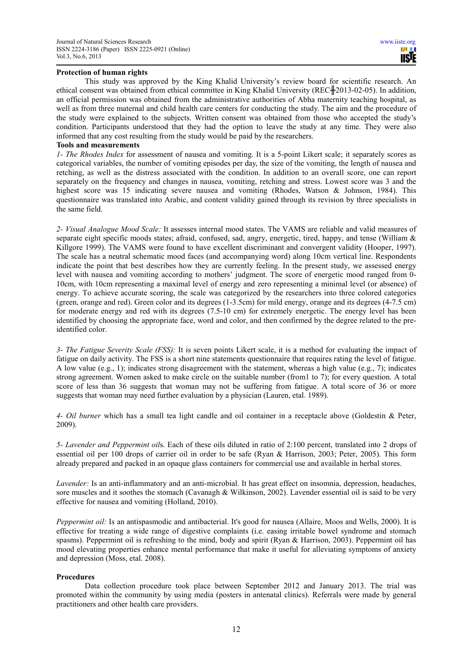# **Protection of human rights**

This study was approved by the King Khalid University's review board for scientific research. An ethical consent was obtained from ethical committee in King Khalid University (REC $\text{+}2013-02-05$ ). In addition, an official permission was obtained from the administrative authorities of Abha maternity teaching hospital, as well as from three maternal and child health care centers for conducting the study. The aim and the procedure of the study were explained to the subjects. Written consent was obtained from those who accepted the study's condition. Participants understood that they had the option to leave the study at any time. They were also informed that any cost resulting from the study would be paid by the researchers.

# **Tools and measurements**

*1- The Rhodes Index* for assessment of nausea and vomiting. It is a 5-point Likert scale; it separately scores as categorical variables, the number of vomiting episodes per day, the size of the vomiting, the length of nausea and retching, as well as the distress associated with the condition. In addition to an overall score, one can report separately on the frequency and changes in nausea, vomiting, retching and stress. Lowest score was 3 and the highest score was 15 indicating severe nausea and vomiting (Rhodes, Watson & Johnson, 1984). This questionnaire was translated into Arabic, and content validity gained through its revision by three specialists in the same field.

*2- Visual Analogue Mood Scale:* It assesses internal mood states. The VAMS are reliable and valid measures of separate eight specific moods states; afraid, confused, sad, angry, energetic, tired, happy, and tense (William & Killgore 1999). The VAMS were found to have excellent discriminant and convergent validity (Hooper, 1997). The scale has a neutral schematic mood faces (and accompanying word) along 10cm vertical line. Respondents indicate the point that best describes how they are currently feeling. In the present study, we assessed energy level with nausea and vomiting according to mothers' judgment. The score of energetic mood ranged from 0- 10cm, with 10cm representing a maximal level of energy and zero representing a minimal level (or absence) of energy. To achieve accurate scoring, the scale was categorized by the researchers into three colored categories (green, orange and red). Green color and its degrees (1-3.5cm) for mild energy, orange and its degrees (4-7.5 cm) for moderate energy and red with its degrees (7.5-10 cm) for extremely energetic. The energy level has been identified by choosing the appropriate face, word and color, and then confirmed by the degree related to the preidentified color.

*3- The Fatigue Severity Scale (FSS):* It is seven points Likert scale, it is a method for evaluating the impact of fatigue on daily activity. The FSS is a short nine statements questionnaire that requires rating the level of fatigue. A low value (e.g., 1); indicates strong disagreement with the statement, whereas a high value (e.g., 7); indicates strong agreement. Women asked to make circle on the suitable number (from1 to 7); for every question. A total score of less than 36 suggests that woman may not be suffering from fatigue. A total score of 36 or more suggests that woman may need further evaluation by a physician (Lauren, etal. 1989).

*4- Oil burner* which has a small tea light candle and oil container in a receptacle above (Goldestin & Peter, 2009).

*5- Lavender and Peppermint oil*s. Each of these oils diluted in ratio of 2:100 percent, translated into 2 drops of essential oil per 100 drops of carrier oil in order to be safe (Ryan & Harrison, 2003; Peter, 2005). This form already prepared and packed in an opaque glass containers for commercial use and available in herbal stores.

*Lavender:* Is an anti-inflammatory and an anti-microbial. It has great effect on insomnia, depression, headaches, sore muscles and it soothes the stomach (Cavanagh & Wilkinson, 2002). Lavender essential oil is said to be very effective for nausea and vomiting (Holland, 2010).

*Peppermint oil:* Is an antispasmodic and antibacterial. It's good for nausea (Allaire, Moos and Wells, 2000). It is effective for treating a wide range of digestive complaints (i.e. easing irritable bowel syndrome and stomach spasms). Peppermint oil is refreshing to the mind, body and spirit (Ryan & Harrison, 2003). Peppermint oil has mood elevating properties enhance mental performance that make it useful for alleviating symptoms of anxiety and depression (Moss, etal. 2008).

# **Procedures**

Data collection procedure took place between September 2012 and January 2013. The trial was promoted within the community by using media (posters in antenatal clinics). Referrals were made by general practitioners and other health care providers.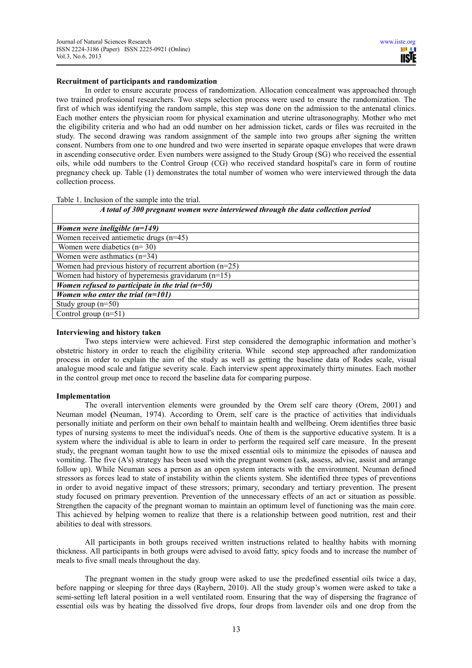# **Recruitment of participants and randomization**

In order to ensure accurate process of randomization. Allocation concealment was approached through two trained professional researchers. Two steps selection process were used to ensure the randomization. The first of which was identifying the random sample, this step was done on the admission to the antenatal clinics. Each mother enters the physician room for physical examination and uterine ultrasonography. Mother who met the eligibility criteria and who had an odd number on her admission ticket, cards or files was recruited in the study. The second drawing was random assignment of the sample into two groups after signing the written consent. Numbers from one to one hundred and two were inserted in separate opaque envelopes that were drawn in ascending consecutive order. Even numbers were assigned to the Study Group (SG) who received the essential oils, while odd numbers to the Control Group (CG) who received standard hospital's care in form of routine pregnancy check up. Table (1) demonstrates the total number of women who were interviewed through the data collection process.

Table 1. Inclusion of the sample into the trial.

#### *A total of 300 pregnant women were interviewed through the data collection period*

| Women were ineligible $(n=149)$                         |
|---------------------------------------------------------|
| Women received antiemetic drugs $(n=45)$                |
| Women were diabetics $(n=30)$                           |
| Women were asthmatics $(n=34)$                          |
| Women had previous history of recurrent abortion (n=25) |
| Women had history of hyperemesis gravidarum $(n=15)$    |
| Women refused to participate in the trial $(n=50)$      |
| Women who enter the trial $(n=101)$                     |
| Study group $(n=50)$                                    |
| Control group $(n=51)$                                  |

#### **Interviewing and history taken**

Two steps interview were achieved. First step considered the demographic information and mother's obstetric history in order to reach the eligibility criteria. While second step approached after randomization process in order to explain the aim of the study as well as getting the baseline data of Rodes scale, visual analogue mood scale and fatigue severity scale. Each interview spent approximately thirty minutes. Each mother in the control group met once to record the baseline data for comparing purpose.

# **Implementation**

 The overall intervention elements were grounded by the Orem self care theory (Orem, 2001) and Neuman model **(**Neuman, 1974). According to Orem, self care is the practice of activities that individuals personally initiate and perform on their own behalf to maintain health and wellbeing. Orem identifies three basic types of nursing systems to meet the individual's needs. One of them is the supportive educative system. It is a system where the individual is able to learn in order to perform the required self care measure. In the present study, the pregnant woman taught how to use the mixed essential oils to minimize the episodes of nausea and vomiting. The five (A's) strategy has been used with the pregnant women (ask, assess, advise, assist and arrange follow up). While Neuman sees a person as an open system interacts with the environment. Neuman defined stressors as forces lead to state of instability within the clients system. She identified three types of preventions in order to avoid negative impact of these stressors; primary, secondary and tertiary prevention. The present study focused on primary prevention. Prevention of the unnecessary effects of an act or situation as possible. Strengthen the capacity of the pregnant woman to maintain an optimum level of functioning was the main core. This achieved by helping women to realize that there is a relationship between good nutrition, rest and their abilities to deal with stressors.

All participants in both groups received written instructions related to healthy habits with morning thickness. All participants in both groups were advised to avoid fatty, spicy foods and to increase the number of meals to five small meals throughout the day.

The pregnant women in the study group were asked to use the predefined essential oils twice a day, before napping or sleeping for three days (Raybern, 2010). All the study group's women were asked to take a semi-setting left lateral position in a well ventilated room. Ensuring that the way of dispersing the fragrance of essential oils was by heating the dissolved five drops, four drops from lavender oils and one drop from the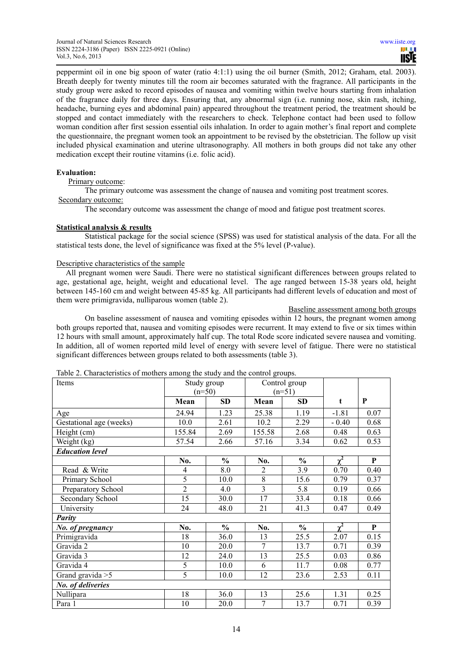peppermint oil in one big spoon of water (ratio 4:1:1) using the oil burner (Smith, 2012; Graham, etal. 2003). Breath deeply for twenty minutes till the room air becomes saturated with the fragrance. All participants in the study group were asked to record episodes of nausea and vomiting within twelve hours starting from inhalation of the fragrance daily for three days. Ensuring that, any abnormal sign (i.e. running nose, skin rash, itching, headache, burning eyes and abdominal pain) appeared throughout the treatment period, the treatment should be stopped and contact immediately with the researchers to check. Telephone contact had been used to follow woman condition after first session essential oils inhalation. In order to again mother's final report and complete the questionnaire, the pregnant women took an appointment to be revised by the obstetrician. The follow up visit included physical examination and uterine ultrasonography. All mothers in both groups did not take any other medication except their routine vitamins (i.e. folic acid).

# **Evaluation:**

Primary outcome:

The primary outcome was assessment the change of nausea and vomiting post treatment scores.

# Secondary outcome:

The secondary outcome was assessment the change of mood and fatigue post treatment scores.

# **Statistical analysis & results**

Statistical package for the social science (SPSS) was used for statistical analysis of the data. For all the statistical tests done, the level of significance was fixed at the 5% level (P-value).

# Descriptive characteristics of the sample

 All pregnant women were Saudi. There were no statistical significant differences between groups related to age, gestational age, height, weight and educational level. The age ranged between 15-38 years old, height between 145-160 cm and weight between 45-85 kg. All participants had different levels of education and most of them were primigravida, nulliparous women (table 2).

Baseline assessment among both groups

On baseline assessment of nausea and vomiting episodes within 12 hours, the pregnant women among both groups reported that, nausea and vomiting episodes were recurrent. It may extend to five or six times within 12 hours with small amount, approximately half cup. The total Rode score indicated severe nausea and vomiting. In addition, all of women reported mild level of energy with severe level of fatigue. There were no statistical significant differences between groups related to both assessments (table 3).

| Items                   |                | Study group   |                | Control group |            |      |
|-------------------------|----------------|---------------|----------------|---------------|------------|------|
|                         | $(n=50)$       |               | $(n=51)$       |               |            |      |
|                         | Mean           | SD            | Mean           | <b>SD</b>     | t          | P    |
| Age                     | 24.94          | 1.23          | 25.38          | 1.19          | $-1.81$    | 0.07 |
| Gestational age (weeks) | 10.0           | 2.61          | 10.2           | 2.29          | $-0.40$    | 0.68 |
| Height (cm)             | 155.84         | 2.69          | 155.58         | 2.68          | 0.48       | 0.63 |
| Weight (kg)             | 57.54          | 2.66          | 57.16          | 3.34          | 0.62       | 0.53 |
| <b>Education level</b>  |                |               |                |               |            |      |
|                         | No.            | $\frac{6}{6}$ | No.            | $\frac{6}{6}$ | $\chi^2$   | P    |
| Read & Write            | 4              | 8.0           | $\overline{2}$ | 3.9           | 0.70       | 0.40 |
| Primary School          | 5              | 10.0          | 8              | 15.6          | 0.79       | 0.37 |
| Preparatory School      | $\overline{2}$ | 4.0           | 3              | 5.8           | 0.19       | 0.66 |
| Secondary School        | 15             | 30.0          | 17             | 33.4          | 0.18       | 0.66 |
| University              | 24             | 48.0          | 21             | 41.3          | 0.47       | 0.49 |
| Parity                  |                |               |                |               |            |      |
| No. of pregnancy        | No.            | $\frac{6}{6}$ | No.            | $\frac{6}{6}$ | $\gamma^2$ | P    |
| Primigravida            | 18             | 36.0          | 13             | 25.5          | 2.07       | 0.15 |
| Gravida 2               | 10             | 20.0          | 7              | 13.7          | 0.71       | 0.39 |
| Gravida 3               | 12             | 24.0          | 13             | 25.5          | 0.03       | 0.86 |
| Gravida 4               | 5              | 10.0          | 6              | 11.7          | 0.08       | 0.77 |
| Grand gravida $>5$      | 5              | 10.0          | 12             | 23.6          | 2.53       | 0.11 |
| No. of deliveries       |                |               |                |               |            |      |
| Nullipara               | 18             | 36.0          | 13             | 25.6          | 1.31       | 0.25 |
| Para 1                  | 10             | 20.0          | $\overline{7}$ | 13.7          | 0.71       | 0.39 |

Table 2. Characteristics of mothers among the study and the control groups.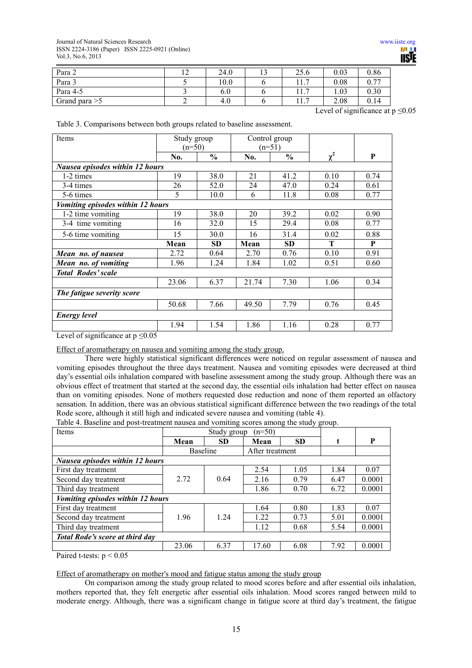| Para 2          | $\sim$<br><b>I</b> 4 | 24.0 | 25.6                         | 0.03 | 0.86 |
|-----------------|----------------------|------|------------------------------|------|------|
| Para 3          |                      | 10.0 | $\overline{ }$               | 0.08 | 0.77 |
| Para 4-5        |                      | 6.0  | $\overline{ }$<br>-1<br>11.1 | 1.03 | 0.30 |
| Grand para $>5$ |                      | 4.0  | -<br>. .<br>11.1             | 2.08 | 0.14 |

Level of significance at  $p \le 0.05$ 

|  |  | Table 3. Comparisons between both groups related to baseline assessment. |
|--|--|--------------------------------------------------------------------------|
|--|--|--------------------------------------------------------------------------|

| Study group                     |                                                                          | Control group |               |          |          |  |  |  |
|---------------------------------|--------------------------------------------------------------------------|---------------|---------------|----------|----------|--|--|--|
|                                 |                                                                          |               |               |          |          |  |  |  |
| No.                             | $\frac{0}{0}$                                                            | No.           | $\frac{0}{0}$ |          | P        |  |  |  |
| Nausea episodes within 12 hours |                                                                          |               |               |          |          |  |  |  |
| 19                              | 38.0                                                                     | 21            | 41.2          | 0.10     | 0.74     |  |  |  |
| 26                              | 52.0                                                                     | 24            | 47.0          | 0.24     | 0.61     |  |  |  |
| 5                               | 10.0                                                                     | 6             | 11.8          | 0.08     | 0.77     |  |  |  |
|                                 |                                                                          |               |               |          |          |  |  |  |
| 19                              | 38.0                                                                     | 20            | 39.2          | 0.02     | 0.90     |  |  |  |
| 16                              | 32.0                                                                     | 15            | 29.4          | 0.08     | 0.77     |  |  |  |
| 15                              | 30.0                                                                     | 16            | 31.4          | 0.02     | 0.88     |  |  |  |
| Mean                            | <b>SD</b>                                                                | Mean          | <b>SD</b>     | T        | P        |  |  |  |
| 2.72                            | 0.64                                                                     | 2.70          | 0.76          | 0.10     | 0.91     |  |  |  |
| 1.96                            | 1.24                                                                     | 1.84          | 1.02          | 0.51     | 0.60     |  |  |  |
| <b>Total Rodes' scale</b>       |                                                                          |               |               |          |          |  |  |  |
| 23.06                           | 6.37                                                                     | 21.74         | 7.30          | 1.06     | 0.34     |  |  |  |
| The fatigue severity score      |                                                                          |               |               |          |          |  |  |  |
| 50.68                           | 7.66                                                                     | 49.50         | 7.79          | 0.76     | 0.45     |  |  |  |
|                                 |                                                                          |               |               |          |          |  |  |  |
| 1.94                            | 1.54                                                                     | 1.86          | 1.16          | 0.28     | 0.77     |  |  |  |
|                                 | Vomiting episodes within 12 hours<br>Laval of significance of $n < 0.05$ | $(n=50)$      |               | $(n=51)$ | $\chi^2$ |  |  |  |

Level of significance at  $p \le 0.05$ 

Effect of aromatherapy on nausea and vomiting among the study group.

There were highly statistical significant differences were noticed on regular assessment of nausea and vomiting episodes throughout the three days treatment. Nausea and vomiting episodes were decreased at third day's essential oils inhalation compared with baseline assessment among the study group. Although there was an obvious effect of treatment that started at the second day, the essential oils inhalation had better effect on nausea than on vomiting episodes. None of mothers requested dose reduction and none of them reported an olfactory sensation. In addition, there was an obvious statistical significant difference between the two readings of the total Rode score, although it still high and indicated severe nausea and vomiting (table 4).

Table 4. Baseline and post-treatment nausea and vomiting scores among the study group.

| <b>Items</b>                                         | <u>ل ر</u><br>$(n=50)$<br>Study group |           |                 |           |      |        |  |  |
|------------------------------------------------------|---------------------------------------|-----------|-----------------|-----------|------|--------|--|--|
|                                                      | Mean                                  | <b>SD</b> | Mean            | <b>SD</b> |      | P      |  |  |
|                                                      | Baseline                              |           | After treatment |           |      |        |  |  |
| Nausea episodes within 12 hours                      |                                       |           |                 |           |      |        |  |  |
| First day treatment                                  |                                       |           | 2.54            | 1.05      | 1.84 | 0.07   |  |  |
| Second day treatment                                 | 2.72                                  | 0.64      | 2.16            | 0.79      | 6.47 | 0.0001 |  |  |
| Third day treatment                                  |                                       |           | 1.86            | 0.70      | 6.72 | 0.0001 |  |  |
| Vomiting episodes within 12 hours                    |                                       |           |                 |           |      |        |  |  |
| First day treatment                                  |                                       |           | 1.64            | 0.80      | 1.83 | 0.07   |  |  |
| Second day treatment                                 | 1.96                                  | 1.24      | 1.22            | 0.73      | 5.01 | 0.0001 |  |  |
| Third day treatment                                  |                                       |           | 1.12            | 0.68      | 5.54 | 0.0001 |  |  |
| <b>Total Rode's score at third day</b>               |                                       |           |                 |           |      |        |  |  |
|                                                      | 23.06                                 | 6.37      | 17.60           | 6.08      | 7.92 | 0.0001 |  |  |
| $D_{\text{data}}$ d $L_{\text{data}}$ $\approx$ 0.05 |                                       |           |                 |           |      |        |  |  |

Paired t-tests:  $p < 0.05$ 

Effect of aromatherapy on mother's mood and fatigue status among the study group

On comparison among the study group related to mood scores before and after essential oils inhalation, mothers reported that, they felt energetic after essential oils inhalation. Mood scores ranged between mild to moderate energy. Although, there was a significant change in fatigue score at third day's treatment, the fatigue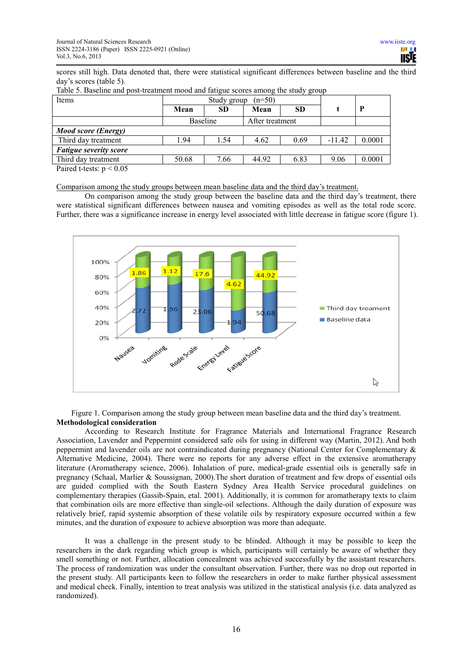scores still high. Data denoted that, there were statistical significant differences between baseline and the third day's scores (table 5).

| Study group<br>$(n=50)$ |      |                 |           |          |              |
|-------------------------|------|-----------------|-----------|----------|--------------|
| Mean                    | SD.  | Mean            | <b>SD</b> |          | $\mathbf{P}$ |
| Baseline                |      | After treatment |           |          |              |
|                         |      |                 |           |          |              |
| 1.94                    | 1.54 | 4.62            | 0.69      | $-11.42$ | 0.0001       |
|                         |      |                 |           |          |              |
| 50.68                   | 7.66 | 44.92           | 6.83      | 9.06     | 0.0001       |
|                         |      |                 |           |          |              |

Table 5. Baseline and post-treatment mood and fatigue scores among the study group

Paired t-tests:  $p < 0.05$ 

Comparison among the study groups between mean baseline data and the third day's treatment.

On comparison among the study group between the baseline data and the third day's treatment, there were statistical significant differences between nausea and vomiting episodes as well as the total rode score. Further, there was a significance increase in energy level associated with little decrease in fatigue score (figure 1).



Figure 1. Comparison among the study group between mean baseline data and the third day's treatment. **Methodological consideration** 

According to Research Institute for Fragrance Materials and International Fragrance Research Association, Lavender and Peppermint considered safe oils for using in different way (Martin, 2012). And both peppermint and lavender oils are not contraindicated during pregnancy (National Center for Complementary & Alternative Medicine, 2004). There were no reports for any adverse effect in the extensive aromatherapy literature (Aromatherapy science, 2006). Inhalation of pure, medical‐grade essential oils is generally safe in pregnancy (Schaal, Marlier & Soussignan, 2000).The short duration of treatment and few drops of essential oils are guided complied with the South Eastern Sydney Area Health Service procedural guidelines on complementary therapies (Gassib-Spain, etal. 2001). Additionally, it is common for aromatherapy texts to claim that combination oils are more effective than single-oil selections. Although the daily duration of exposure was relatively brief, rapid systemic absorption of these volatile oils by respiratory exposure occurred within a few minutes, and the duration of exposure to achieve absorption was more than adequate.

It was a challenge in the present study to be blinded. Although it may be possible to keep the researchers in the dark regarding which group is which, participants will certainly be aware of whether they smell something or not. Further, allocation concealment was achieved successfully by the assistant researchers. The process of randomization was under the consultant observation. Further, there was no drop out reported in the present study. All participants keen to follow the researchers in order to make further physical assessment and medical check. Finally, intention to treat analysis was utilized in the statistical analysis (i.e. data analyzed as randomized).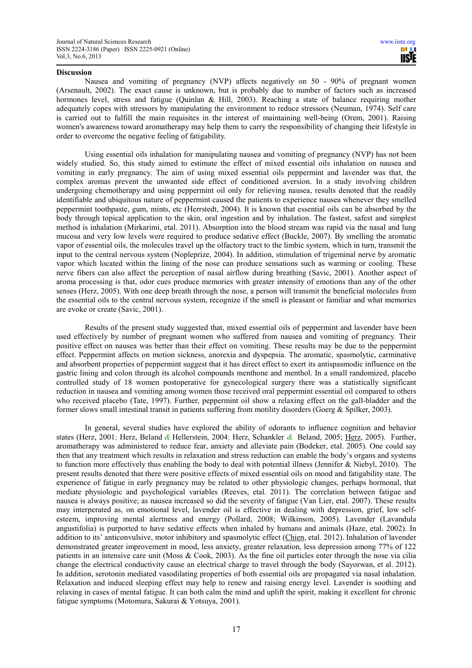# **Discussion**

Nausea and vomiting of pregnancy (NVP) affects negatively on 50 - 90% of pregnant women (Arsenault, 2002). The exact cause is unknown, but is probably due to number of factors such as increased hormones level, stress and fatigue (Quinlan & Hill, 2003). Reaching a state of balance requiring mother adequately copes with stressors by manipulating the environment to reduce stressors (Neuman, 1974). Self care is carried out to fulfill the main requisites in the interest of maintaining well-being (Orem, 2001). Raising women's awareness toward aromatherapy may help them to carry the responsibility of changing their lifestyle in order to overcome the negative feeling of fatigability.

Using essential oils inhalation for manipulating nausea and vomiting of pregnancy (NVP) has not been widely studied. So, this study aimed to estimate the effect of mixed essential oils inhalation on nausea and vomiting in early pregnancy. The aim of using mixed essential oils peppermint and lavender was that, the complex aromas prevent the unwanted side effect of conditioned aversion. In a study involving children undergoing chemotherapy and using peppermint oil only for relieving nausea, results denoted that the readily identifiable and ubiquitous nature of peppermint caused the patients to experience nausea whenever they smelled peppermint toothpaste, gum, mints, etc (Herrstedt, 2004). It is known that essential oils can be absorbed by the body through topical application to the skin, oral ingestion and by inhalation. The fastest, safest and simplest method is inhalation (Mirkarimi, etal. 2011). Absorption into the blood stream was rapid via the nasal and lung mucosa and very low levels were required to produce sedative effect (Buckle, 2007). By smelling the aromatic vapor of essential oils, the molecules travel up the olfactory tract to the limbic system, which in turn, transmit the input to the central nervous system (Nopleprize, 2004). In addition, stimulation of trigeminal nerve by aromatic vapor which located within the lining of the nose can produce sensations such as warming or cooling. These nerve fibers can also affect the perception of nasal airflow during breathing (Savic, 2001). Another aspect of aroma processing is that, odor cues produce memories with greater intensity of emotions than any of the other senses (Herz, 2005). With one deep breath through the nose, a person will transmit the beneficial molecules from the essential oils to the central nervous system, recognize if the smell is pleasant or familiar and what memories are evoke or create (Savic, 2001).

Results of the present study suggested that, mixed essential oils of peppermint and lavender have been used effectively by number of pregnant women who suffered from nausea and vomiting of pregnancy. Their positive effect on nausea was better than their effect on vomiting. These results may be due to the peppermint effect. Peppermint affects on motion sickness, anorexia and dyspepsia. The aromatic, spasmolytic, carminative and absorbent properties of peppermint suggest that it has direct effect to exert its antispasmodic influence on the gastric lining and colon through its alcohol compounds menthone and menthol. In a small randomized, placebo controlled study of 18 women postoperative for gynecological surgery there was a statistically significant reduction in nausea and vomiting among women those received oral peppermint essential oil compared to others who received placebo (Tate, 1997). Further, peppermint oil show a relaxing effect on the gall-bladder and the former slows small intestinal transit in patients suffering from motility disorders (Goerg & Spilker, 2003).

In general, several studies have explored the ability of odorants to influence cognition and behavior states (Herz, 2001; Herz, Beland *&* Hellerstein, 2004; Herz, Schankler *&* Beland, 2005; Herz, 2005). Further, aromatherapy was administered to reduce fear, anxiety and alleviate pain (Bodeker, etal. 2005). One could say then that any treatment which results in relaxation and stress reduction can enable the body's organs and systems to function more effectively thus enabling the body to deal with potential illness (Jennifer & Niebyl, 2010). The present results denoted that there were positive effects of mixed essential oils on mood and fatigability state. The experience of fatigue in early pregnancy may be related to other physiologic changes, perhaps hormonal, that mediate physiologic and psychological variables (Reeves, etal. 2011). The correlation between fatigue and nausea is always positive; as nausea increased so did the severity of fatigue (Van Lier, etal. 2007). These results may interperated as, on emotional level, lavender oil is effective in dealing with depression, grief, low selfesteem, improving mental alertness and energy (Pollard, 2008; Wilkinson, 2005). Lavender (Lavandula angustifolia) is purported to have sedative effects when inhaled by humans and animals (Haze, etal. 2002). In addition to its' anticonvulsive, motor inhibitory and spasmolytic effect (Chien, etal. 2012). Inhalation of lavender demonstrated greater improvement in mood, less anxiety, greater relaxation, less depression among 77% of 122 patients in an intensive care unit (Moss  $& Cook, 2003$ ). As the fine oil particles enter through the nose via cilia change the electrical conductivity cause an electrical charge to travel through the body (Sayorwan, et al. 2012). In addition, serotonin mediated vasodilating properties of both essential oils are propagated via nasal inhalation. Relaxation and induced sleeping effect may help to renew and raising energy level. Lavender is soothing and relaxing in cases of mental fatigue. It can both calm the mind and uplift the spirit, making it excellent for chronic fatigue symptoms (Motomura, Sakurai & Yotsuya, 2001).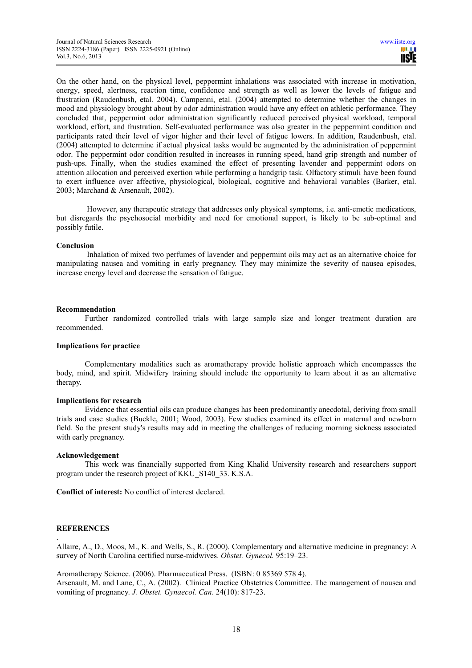On the other hand, on the physical level, peppermint inhalations was associated with increase in motivation, energy, speed, alertness, reaction time, confidence and strength as well as lower the levels of fatigue and frustration (Raudenbush, etal. 2004). Campenni, etal. (2004) attempted to determine whether the changes in mood and physiology brought about by odor administration would have any effect on athletic performance. They concluded that, peppermint odor administration significantly reduced perceived physical workload, temporal workload, effort, and frustration. Self-evaluated performance was also greater in the peppermint condition and participants rated their level of vigor higher and their level of fatigue lowers. In addition, Raudenbush, etal. (2004) attempted to determine if actual physical tasks would be augmented by the administration of peppermint odor. The peppermint odor condition resulted in increases in running speed, hand grip strength and number of push-ups. Finally, when the studies examined the effect of presenting lavender and peppermint odors on attention allocation and perceived exertion while performing a handgrip task. Olfactory stimuli have been found to exert influence over affective, physiological, biological, cognitive and behavioral variables (Barker, etal. 2003; Marchand & Arsenault, 2002).

 However, any therapeutic strategy that addresses only physical symptoms, i.e. anti-emetic medications, but disregards the psychosocial morbidity and need for emotional support, is likely to be sub-optimal and possibly futile.

# **Conclusion**

 Inhalation of mixed two perfumes of lavender and peppermint oils may act as an alternative choice for manipulating nausea and vomiting in early pregnancy. They may minimize the severity of nausea episodes, increase energy level and decrease the sensation of fatigue.

# **Recommendation**

Further randomized controlled trials with large sample size and longer treatment duration are recommended.

# **Implications for practice**

Complementary modalities such as aromatherapy provide holistic approach which encompasses the body, mind, and spirit. Midwifery training should include the opportunity to learn about it as an alternative therapy.

# **Implications for research**

Evidence that essential oils can produce changes has been predominantly anecdotal, deriving from small trials and case studies (Buckle, 2001; Wood, 2003). Few studies examined its effect in maternal and newborn field. So the present study's results may add in meeting the challenges of reducing morning sickness associated with early pregnancy.

#### **Acknowledgement**

This work was financially supported from King Khalid University research and researchers support program under the research project of KKU\_S140\_33. K.S.A.

**Conflict of interest:** No conflict of interest declared.

# **REFERENCES**

.

Allaire, A., D., Moos, M., K. and Wells, S., R. (2000). Complementary and alternative medicine in pregnancy: A survey of North Carolina certified nurse-midwives. *Obstet. Gynecol.* 95:19–23.

Aromatherapy Science. (2006). Pharmaceutical Press. (ISBN: 0 85369 578 4). Arsenault, M. and Lane, C., A. (2002). Clinical Practice Obstetrics Committee. The management of nausea and vomiting of pregnancy. *J. Obstet. Gynaecol. Can*. 24(10): 817-23.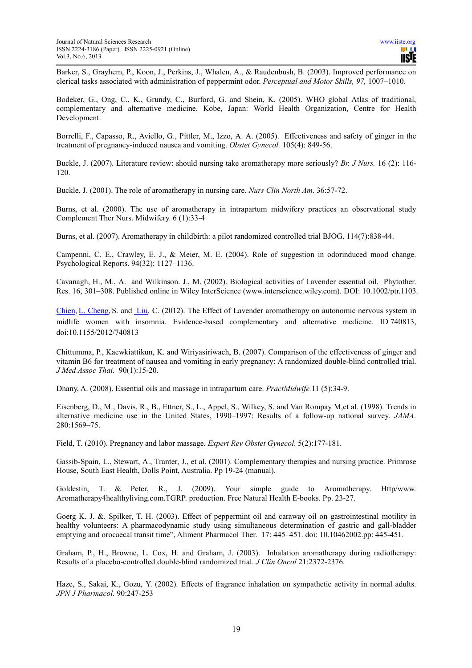Barker, S., Grayhem, P., Koon, J., Perkins, J., Whalen, A., & Raudenbush, B. (2003). Improved performance on clerical tasks associated with administration of peppermint odor. *Perceptual and Motor Skills, 97,* 1007–1010.

Bodeker, G., Ong, C., K., Grundy, C., Burford, G. and Shein, K. (2005). WHO global Atlas of traditional, complementary and alternative medicine. Kobe, Japan: World Health Organization, Centre for Health Development.

Borrelli, F., Capasso, R., Aviello, G., Pittler, M., Izzo, A. A. (2005). Effectiveness and safety of ginger in the treatment of pregnancy-induced nausea and vomiting. *Obstet Gynecol.* 105(4): 849-56.

Buckle, J. (2007). Literature review: should nursing take aromatherapy more seriously? *Br. J Nurs.* 16 (2): 116- 120.

Buckle, J. (2001). The role of aromatherapy in nursing care. *Nurs Clin North Am*. 36:57-72.

Burns, et al. (2000). The use of aromatherapy in intrapartum midwifery practices an observational study Complement Ther Nurs. Midwifery. 6 (1):33-4

Burns, et al. (2007). Aromatherapy in childbirth: a pilot randomized controlled trial BJOG. 114(7):838-44.

Campenni, C. E., Crawley, E. J., & Meier, M. E. (2004). Role of suggestion in odorinduced mood change. Psychological Reports. 94(32): 1127–1136.

Cavanagh, H., M., A. and Wilkinson. J., M. (2002). Biological activities of Lavender essential oil. Phytother. Res. 16, 301–308. Published online in Wiley InterScience (www.interscience.wiley.com). DOI: 10.1002/ptr.1103.

Chien, L. Cheng, S. and Liu, C. (2012). The Effect of Lavender aromatherapy on autonomic nervous system in midlife women with insomnia. Evidence-based complementary and alternative medicine. ID 740813, doi:10.1155/2012/740813

Chittumma, P., Kaewkiattikun, K. and Wiriyasiriwach, B. (2007). Comparison of the effectiveness of ginger and vitamin B6 for treatment of nausea and vomiting in early pregnancy: A randomized double-blind controlled trial. *J Med Assoc Thai.* 90(1):15-20.

Dhany, A. (2008). Essential oils and massage in intrapartum care. *PractMidwife.*11 (5):34-9.

Eisenberg, D., M., Davis, R., B., Ettner, S., L., Appel, S., Wilkey, S. and Van Rompay M,et al. (1998). Trends in alternative medicine use in the United States, 1990–1997: Results of a follow-up national survey. *JAMA*. 280:1569–75.

Field, T. (2010). Pregnancy and labor massage. *Expert Rev Obstet Gynecol*. 5(2):177-181.

Gassib-Spain, L., Stewart, A., Tranter, J., et al. (2001). Complementary therapies and nursing practice. Primrose House, South East Health, Dolls Point, Australia. Pp 19-24 (manual).

Goldestin, T. & Peter, R., J. (2009). Your simple guide to Aromatherapy. Http/www. Aromatherapy4healthyliving.com.TGRP. production. Free Natural Health E-books. Pp. 23-27.

Goerg K. J. &. Spilker, T. H. (2003). Effect of peppermint oil and caraway oil on gastrointestinal motility in healthy volunteers: A pharmacodynamic study using simultaneous determination of gastric and gall-bladder emptying and orocaecal transit time", Aliment Pharmacol Ther. 17: 445–451. doi: 10.10462002.pp: 445-451.

Graham, P., H., Browne, L. Cox, H. and Graham, J. (2003). Inhalation aromatherapy during radiotherapy: Results of a placebo-controlled double-blind randomized trial. *J Clin Oncol* 21:2372-2376.

Haze, S., Sakai, K., Gozu, Y. (2002). Effects of fragrance inhalation on sympathetic activity in normal adults. *JPN J Pharmacol.* 90:247-253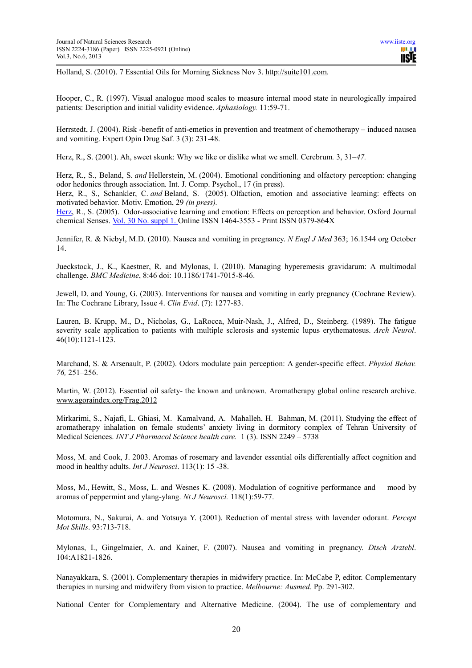Holland, S. (2010). 7 Essential Oils for Morning Sickness Nov 3. http://suite101.com.

Hooper, C., R. (1997). Visual analogue mood scales to measure internal mood state in neurologically impaired patients: Description and initial validity evidence. *Aphasiology.* 11:59-71.

Herrstedt, J. (2004). Risk -benefit of anti-emetics in prevention and treatment of chemotherapy – induced nausea and vomiting. Expert Opin Drug Saf. 3 (3): 231-48.

Herz, R., S. (2001). Ah, sweet skunk: Why we like or dislike what we smell*.* Cerebrum*.* 3, 31–*47.*

Herz, R., S., Beland, S. *and* Hellerstein, M. (2004). Emotional conditioning and olfactory perception: changing odor hedonics through association*.* Int. J. Comp. Psychol., 17 (in press).

Herz, R., S., Schankler, C. *and* Beland, S. (2005)*.* Olfaction, emotion and associative learning: effects on motivated behavior*.* Motiv. Emotion, 29 *(in press).* 

Herz, R., S. (2005). Odor-associative learning and emotion: Effects on perception and behavior. Oxford Journal chemical Senses. Vol. 30 No. suppl 1. Online ISSN 1464-3553 - Print ISSN 0379-864X

Jennifer, R. & Niebyl, M.D. (2010). Nausea and vomiting in pregnancy. *N Engl J Med* 363; 16.1544 org October 14.

Jueckstock, J., K., Kaestner, R. and Mylonas, I. (2010). Managing hyperemesis gravidarum: A multimodal challenge. *BMC Medicine*, 8:46 doi: 10.1186/1741-7015-8-46.

Jewell, D. and Young, G. (2003). Interventions for nausea and vomiting in early pregnancy (Cochrane Review). In: The Cochrane Library, Issue 4. *Clin Evid*. (7): 1277-83.

Lauren, B. Krupp, M., D., Nicholas, G., LaRocca, Muir-Nash, J., Alfred, D., Steinberg. (1989). The fatigue severity scale application to patients with multiple sclerosis and systemic lupus erythematosus. *Arch Neurol*. 46(10):1121-1123.

Marchand, S. & Arsenault, P. (2002). Odors modulate pain perception: A gender-specific effect. *Physiol Behav. 76,* 251–256.

Martin, W. (2012). Essential oil safety- the known and unknown. Aromatherapy global online research archive. www.agoraindex.org/Frag.2012

Mirkarimi, S., Najafi, L. Ghiasi, M. Kamalvand, A. Mahalleh, H. Bahman, M. (2011). Studying the effect of aromatherapy inhalation on female students' anxiety living in dormitory complex of Tehran University of Medical Sciences. *INT J Pharmacol Science health care.* 1 (3). ISSN 2249 – 5738

Moss, M. and Cook, J. 2003. Aromas of rosemary and lavender essential oils differentially affect cognition and mood in healthy adults. *Int J Neurosci*. 113(1): 15 -38.

Moss, M., Hewitt, S., Moss, L. and Wesnes K. (2008). Modulation of cognitive performance and mood by aromas of peppermint and ylang-ylang. *Nt J Neurosci.* 118(1):59-77.

Motomura, N., Sakurai, A. and Yotsuya Y. (2001). Reduction of mental stress with lavender odorant. *Percept Mot Skills*. 93:713-718.

Mylonas, I., Gingelmaier, A. and Kainer, F. (2007). Nausea and vomiting in pregnancy. *Dtsch Arztebl*. 104:A1821-1826.

Nanayakkara, S. (2001). Complementary therapies in midwifery practice. In: McCabe P, editor. Complementary therapies in nursing and midwifery from vision to practice. *Melbourne: Ausmed*. Pp. 291-302.

National Center for Complementary and Alternative Medicine. (2004). The use of complementary and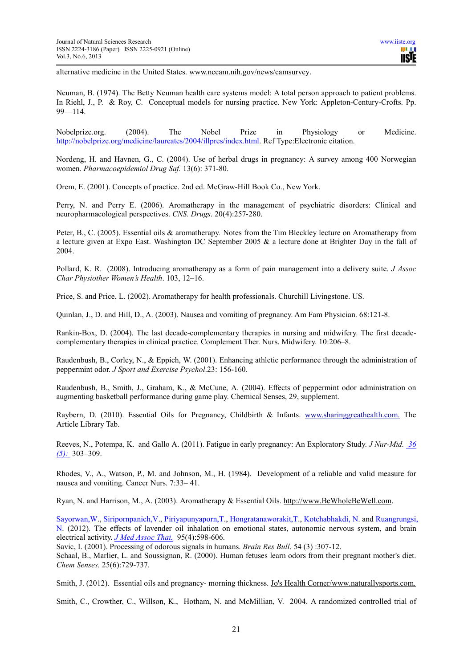alternative medicine in the United States. www.nccam.nih.gov/news/camsurvey.

Neuman, B. (1974). The Betty Neuman health care systems model: A total person approach to patient problems. In Riehl, J., P. & Roy, C. Conceptual models for nursing practice. New York: Appleton-Century-Crofts. Pp. 99—114.

Nobelprize.org. (2004). The Nobel Prize in Physiology or Medicine. http://nobelprize.org/medicine/laureates/2004/illpres/index.html. Ref Type:Electronic citation.

Nordeng, H. and Havnen, G., C. (2004). Use of herbal drugs in pregnancy: A survey among 400 Norwegian women. *Pharmacoepidemiol Drug Saf.* 13(6): 371-80.

Orem, E. (2001). Concepts of practice. 2nd ed. McGraw-Hill Book Co., New York.

Perry, N. and Perry E. (2006). Aromatherapy in the management of psychiatric disorders: Clinical and neuropharmacological perspectives. *CNS. Drugs*. 20(4):257‐280.

Peter, B., C. (2005). Essential oils & aromatherapy*.* Notes from the Tim Bleckley lecture on Aromatherapy from a lecture given at Expo East. Washington DC September 2005 & a lecture done at Brighter Day in the fall of 2004.

Pollard, K. R. (2008). Introducing aromatherapy as a form of pain management into a delivery suite. *J Assoc Char Physiother Women's Health*. 103, 12–16.

Price, S. and Price, L. (2002). Aromatherapy for health professionals. Churchill Livingstone. US.

Quinlan, J., D. and Hill, D., A. (2003). Nausea and vomiting of pregnancy. Am Fam Physician. 68:121-8.

Rankin-Box, D. (2004). The last decade-complementary therapies in nursing and midwifery. The first decadecomplementary therapies in clinical practice. Complement Ther. Nurs. Midwifery. 10:206–8.

Raudenbush, B., Corley, N., & Eppich, W. (2001). Enhancing athletic performance through the administration of peppermint odor. *J Sport and Exercise Psychol*.23: 156-160.

Raudenbush, B., Smith, J., Graham, K., & McCune, A. (2004). Effects of peppermint odor administration on augmenting basketball performance during game play. Chemical Senses, 29, supplement.

Raybern, D. (2010). Essential Oils for Pregnancy, Childbirth & Infants. www.sharinggreathealth.com. The Article Library Tab.

Reeves, N., Potempa, K. and Gallo A. (2011). Fatigue in early pregnancy: An Exploratory Study. *J Nur-Mid. 36 (5):* 303–309.

Rhodes, V., A., Watson, P., M. and Johnson, M., H. (1984). Development of a reliable and valid measure for nausea and vomiting. Cancer Nurs. 7:33– 41.

Ryan, N. and Harrison, M., A. (2003). Aromatherapy & Essential Oils. http://www.BeWholeBeWell.com.

Sayorwan,W., Siripornpanich,V., Piriyapunyaporn,T., Hongratanaworakit,T., Kotchabhakdi, N. and Ruangrungsi, N. (2012). The effects of lavender oil inhalation on emotional states, autonomic nervous system, and brain electrical activity. *J Med Assoc Thai.* 95(4):598-606.

Savic, I. (2001). Processing of odorous signals in humans. *Brain Res Bull*. 54 (3) :307-12.

Schaal, B., Marlier, L. and Soussignan, R. (2000). Human fetuses learn odors from their pregnant mother's diet. *Chem Senses.* 25(6):729-737.

Smith, J. (2012). Essential oils and pregnancy- morning thickness. Jo's Health Corner/www.naturallysports.com.

Smith, C., Crowther, C., Willson, K., Hotham, N. and McMillian, V. 2004. A randomized controlled trial of